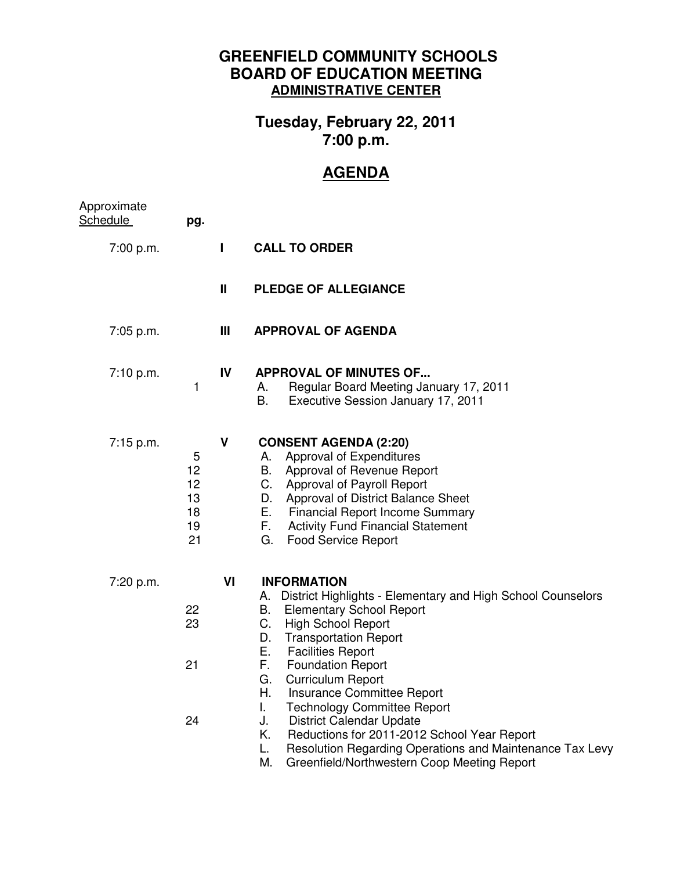## **GREENFIELD COMMUNITY SCHOOLS BOARD OF EDUCATION MEETING ADMINISTRATIVE CENTER**

## **Tuesday, February 22, 2011 7:00 p.m.**

## **AGENDA**

| Approximate<br><b>Schedule</b> | pg.                                   |              |                                                                                                                                                                                                                                                                                                                                                                                                                                                                                                                                                                                                                      |
|--------------------------------|---------------------------------------|--------------|----------------------------------------------------------------------------------------------------------------------------------------------------------------------------------------------------------------------------------------------------------------------------------------------------------------------------------------------------------------------------------------------------------------------------------------------------------------------------------------------------------------------------------------------------------------------------------------------------------------------|
| 7:00 p.m.                      |                                       | L            | <b>CALL TO ORDER</b>                                                                                                                                                                                                                                                                                                                                                                                                                                                                                                                                                                                                 |
|                                |                                       | $\mathbf{I}$ | PLEDGE OF ALLEGIANCE                                                                                                                                                                                                                                                                                                                                                                                                                                                                                                                                                                                                 |
| 7:05 p.m.                      |                                       | Ш            | <b>APPROVAL OF AGENDA</b>                                                                                                                                                                                                                                                                                                                                                                                                                                                                                                                                                                                            |
| 7:10 p.m.                      | $\mathbf{1}$                          | IV           | <b>APPROVAL OF MINUTES OF</b><br>Regular Board Meeting January 17, 2011<br>А.<br>B.<br>Executive Session January 17, 2011                                                                                                                                                                                                                                                                                                                                                                                                                                                                                            |
| 7:15 p.m.                      | 5<br>12<br>12<br>13<br>18<br>19<br>21 | $\mathbf{V}$ | <b>CONSENT AGENDA (2:20)</b><br>Approval of Expenditures<br>Α.<br>B. Approval of Revenue Report<br>C. Approval of Payroll Report<br>Approval of District Balance Sheet<br>D.<br>Е.<br><b>Financial Report Income Summary</b><br>F.<br><b>Activity Fund Financial Statement</b><br>G.<br><b>Food Service Report</b>                                                                                                                                                                                                                                                                                                   |
| 7:20 p.m.                      | 22<br>23<br>21<br>24                  | VI           | <b>INFORMATION</b><br>District Highlights - Elementary and High School Counselors<br>A.<br><b>Elementary School Report</b><br>В.<br>C.<br><b>High School Report</b><br>D.<br><b>Transportation Report</b><br>Е.<br><b>Facilities Report</b><br>F.<br><b>Foundation Report</b><br>G.<br><b>Curriculum Report</b><br>Η.<br>Insurance Committee Report<br>I.<br><b>Technology Committee Report</b><br>J.<br><b>District Calendar Update</b><br>Κ.<br>Reductions for 2011-2012 School Year Report<br>Resolution Regarding Operations and Maintenance Tax Levy<br>L.<br>М.<br>Greenfield/Northwestern Coop Meeting Report |